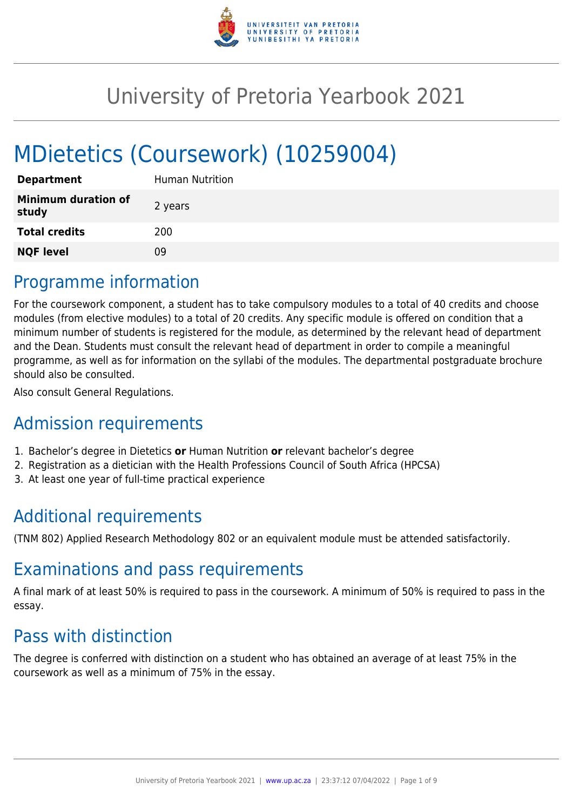

# University of Pretoria Yearbook 2021

# MDietetics (Coursework) (10259004)

| <b>Department</b>                   | Human Nutrition |
|-------------------------------------|-----------------|
| <b>Minimum duration of</b><br>study | 2 years         |
| <b>Total credits</b>                | 200             |
| <b>NQF level</b>                    | 09              |

# Programme information

For the coursework component, a student has to take compulsory modules to a total of 40 credits and choose modules (from elective modules) to a total of 20 credits. Any specific module is offered on condition that a minimum number of students is registered for the module, as determined by the relevant head of department and the Dean. Students must consult the relevant head of department in order to compile a meaningful programme, as well as for information on the syllabi of the modules. The departmental postgraduate brochure should also be consulted.

Also consult General Regulations.

# Admission requirements

- 1. Bachelor's degree in Dietetics **or** Human Nutrition **or** relevant bachelor's degree
- 2. Registration as a dietician with the Health Professions Council of South Africa (HPCSA)
- 3. At least one year of full-time practical experience

# Additional requirements

(TNM 802) Applied Research Methodology 802 or an equivalent module must be attended satisfactorily.

# Examinations and pass requirements

A final mark of at least 50% is required to pass in the coursework. A minimum of 50% is required to pass in the essay.

# Pass with distinction

The degree is conferred with distinction on a student who has obtained an average of at least 75% in the coursework as well as a minimum of 75% in the essay.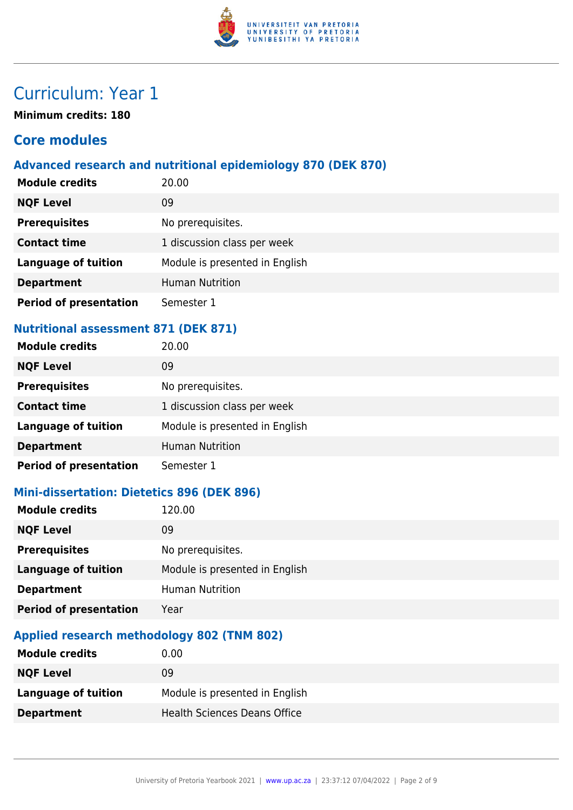

# Curriculum: Year 1

**Minimum credits: 180**

# **Core modules**

## **Advanced research and nutritional epidemiology 870 (DEK 870)**

| <b>Module credits</b>         | 20.00                          |
|-------------------------------|--------------------------------|
| <b>NQF Level</b>              | 09                             |
| <b>Prerequisites</b>          | No prerequisites.              |
| <b>Contact time</b>           | 1 discussion class per week    |
| <b>Language of tuition</b>    | Module is presented in English |
| <b>Department</b>             | <b>Human Nutrition</b>         |
| <b>Period of presentation</b> | Semester 1                     |

### **Nutritional assessment 871 (DEK 871)**

| <b>Module credits</b>         | 20.00                          |
|-------------------------------|--------------------------------|
| <b>NQF Level</b>              | 09                             |
| <b>Prerequisites</b>          | No prerequisites.              |
| <b>Contact time</b>           | 1 discussion class per week    |
| <b>Language of tuition</b>    | Module is presented in English |
| <b>Department</b>             | <b>Human Nutrition</b>         |
| <b>Period of presentation</b> | Semester 1                     |

### **Mini-dissertation: Dietetics 896 (DEK 896)**

| 120.00                         |
|--------------------------------|
| 09                             |
| No prerequisites.              |
| Module is presented in English |
| <b>Human Nutrition</b>         |
| Year                           |
|                                |

#### **Applied research methodology 802 (TNM 802)**

| <b>Module credits</b> | 0.00                                |
|-----------------------|-------------------------------------|
| <b>NQF Level</b>      | 09                                  |
| Language of tuition   | Module is presented in English      |
| <b>Department</b>     | <b>Health Sciences Deans Office</b> |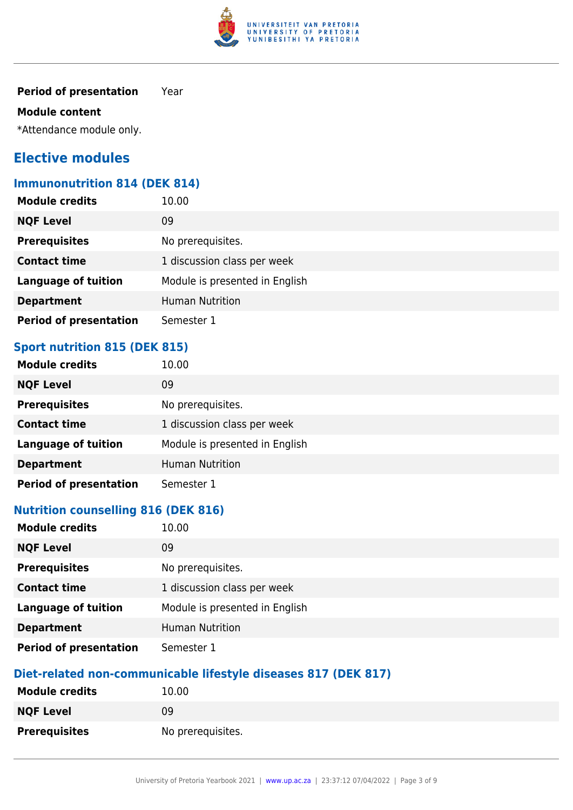

#### **Period of presentation** Year

#### **Module content**

\*Attendance module only.

# **Elective modules**

#### **Immunonutrition 814 (DEK 814)**

| <b>Module credits</b>         | 10.00                          |
|-------------------------------|--------------------------------|
| <b>NQF Level</b>              | 09                             |
| <b>Prerequisites</b>          | No prerequisites.              |
| <b>Contact time</b>           | 1 discussion class per week    |
| <b>Language of tuition</b>    | Module is presented in English |
| <b>Department</b>             | <b>Human Nutrition</b>         |
| <b>Period of presentation</b> | Semester 1                     |

# **Sport nutrition 815 (DEK 815)**

| <b>Module credits</b>         | 10.00                          |
|-------------------------------|--------------------------------|
| <b>NQF Level</b>              | 09                             |
| <b>Prerequisites</b>          | No prerequisites.              |
| <b>Contact time</b>           | 1 discussion class per week    |
| <b>Language of tuition</b>    | Module is presented in English |
| <b>Department</b>             | <b>Human Nutrition</b>         |
| <b>Period of presentation</b> | Semester 1                     |

## **Nutrition counselling 816 (DEK 816)**

| <b>Module credits</b>         | 10.00                          |
|-------------------------------|--------------------------------|
| <b>NQF Level</b>              | 09                             |
| <b>Prerequisites</b>          | No prerequisites.              |
| <b>Contact time</b>           | 1 discussion class per week    |
| <b>Language of tuition</b>    | Module is presented in English |
| <b>Department</b>             | <b>Human Nutrition</b>         |
| <b>Period of presentation</b> | Semester 1                     |

# **Diet-related non-communicable lifestyle diseases 817 (DEK 817)**

| <b>Module credits</b> | 10.00             |
|-----------------------|-------------------|
| <b>NQF Level</b>      | 09                |
| <b>Prerequisites</b>  | No prerequisites. |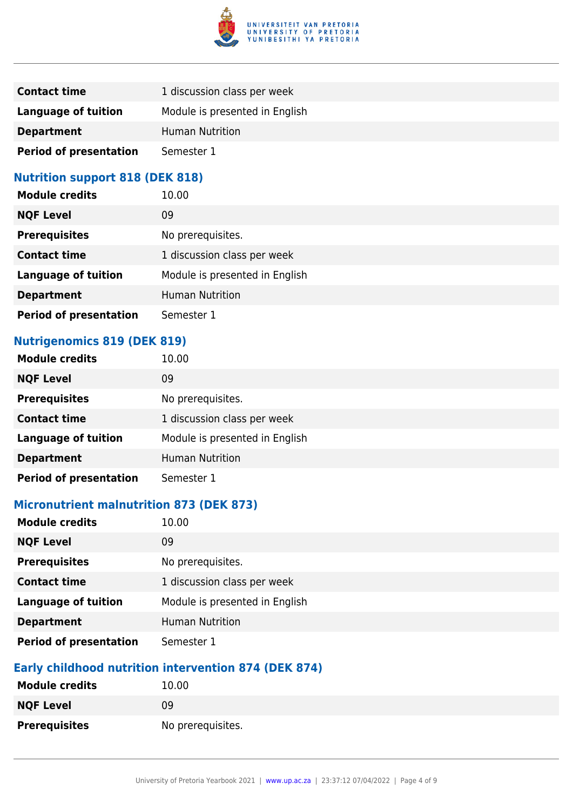

| <b>Contact time</b>           | 1 discussion class per week    |
|-------------------------------|--------------------------------|
| Language of tuition           | Module is presented in English |
| <b>Department</b>             | <b>Human Nutrition</b>         |
| <b>Period of presentation</b> | Semester 1                     |

### **Nutrition support 818 (DEK 818)**

| <b>Module credits</b>         | 10.00                          |
|-------------------------------|--------------------------------|
| <b>NQF Level</b>              | 09                             |
| <b>Prerequisites</b>          | No prerequisites.              |
| <b>Contact time</b>           | 1 discussion class per week    |
| <b>Language of tuition</b>    | Module is presented in English |
| <b>Department</b>             | <b>Human Nutrition</b>         |
| <b>Period of presentation</b> | Semester 1                     |

# **Nutrigenomics 819 (DEK 819)**

| <b>Module credits</b>         | 10.00                          |
|-------------------------------|--------------------------------|
| <b>NQF Level</b>              | 09                             |
| <b>Prerequisites</b>          | No prerequisites.              |
| <b>Contact time</b>           | 1 discussion class per week    |
| <b>Language of tuition</b>    | Module is presented in English |
| <b>Department</b>             | <b>Human Nutrition</b>         |
| <b>Period of presentation</b> | Semester 1                     |

# **Micronutrient malnutrition 873 (DEK 873)**

| <b>Module credits</b>         | 10.00                          |
|-------------------------------|--------------------------------|
| <b>NQF Level</b>              | 09                             |
| <b>Prerequisites</b>          | No prerequisites.              |
| <b>Contact time</b>           | 1 discussion class per week    |
| <b>Language of tuition</b>    | Module is presented in English |
| <b>Department</b>             | <b>Human Nutrition</b>         |
| <b>Period of presentation</b> | Semester 1                     |

#### **Early childhood nutrition intervention 874 (DEK 874)**

| <b>Module credits</b> | 10.00             |
|-----------------------|-------------------|
| <b>NQF Level</b>      | 09                |
| <b>Prerequisites</b>  | No prerequisites. |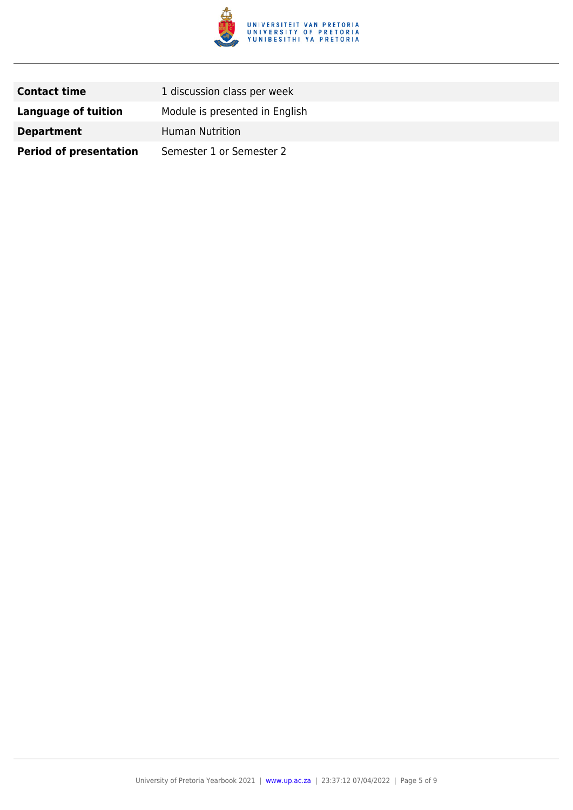

| <b>Contact time</b>           | 1 discussion class per week    |
|-------------------------------|--------------------------------|
| Language of tuition           | Module is presented in English |
| <b>Department</b>             | <b>Human Nutrition</b>         |
| <b>Period of presentation</b> | Semester 1 or Semester 2       |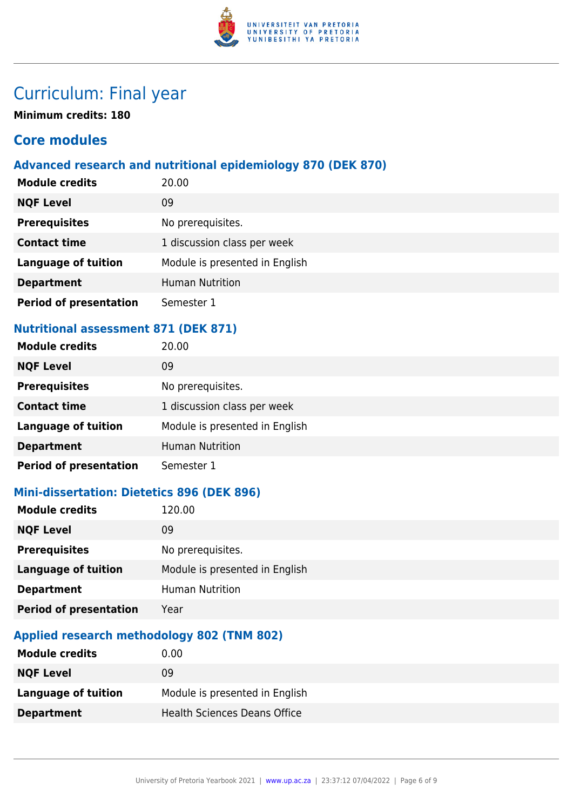

# Curriculum: Final year

**Minimum credits: 180**

# **Core modules**

# **Advanced research and nutritional epidemiology 870 (DEK 870)**

| <b>Module credits</b>         | 20.00                          |
|-------------------------------|--------------------------------|
| <b>NQF Level</b>              | 09                             |
| <b>Prerequisites</b>          | No prerequisites.              |
| <b>Contact time</b>           | 1 discussion class per week    |
| <b>Language of tuition</b>    | Module is presented in English |
| <b>Department</b>             | <b>Human Nutrition</b>         |
| <b>Period of presentation</b> | Semester 1                     |

## **Nutritional assessment 871 (DEK 871)**

| <b>Module credits</b>         | 20.00                          |
|-------------------------------|--------------------------------|
| <b>NQF Level</b>              | 09                             |
| <b>Prerequisites</b>          | No prerequisites.              |
| <b>Contact time</b>           | 1 discussion class per week    |
| <b>Language of tuition</b>    | Module is presented in English |
| <b>Department</b>             | <b>Human Nutrition</b>         |
| <b>Period of presentation</b> | Semester 1                     |

# **Mini-dissertation: Dietetics 896 (DEK 896)**

| 120.00                         |
|--------------------------------|
| 09                             |
| No prerequisites.              |
| Module is presented in English |
| <b>Human Nutrition</b>         |
| Year                           |
|                                |

## **Applied research methodology 802 (TNM 802)**

| <b>Module credits</b> | $0.00\,$                            |
|-----------------------|-------------------------------------|
| <b>NQF Level</b>      | 09                                  |
| Language of tuition   | Module is presented in English      |
| <b>Department</b>     | <b>Health Sciences Deans Office</b> |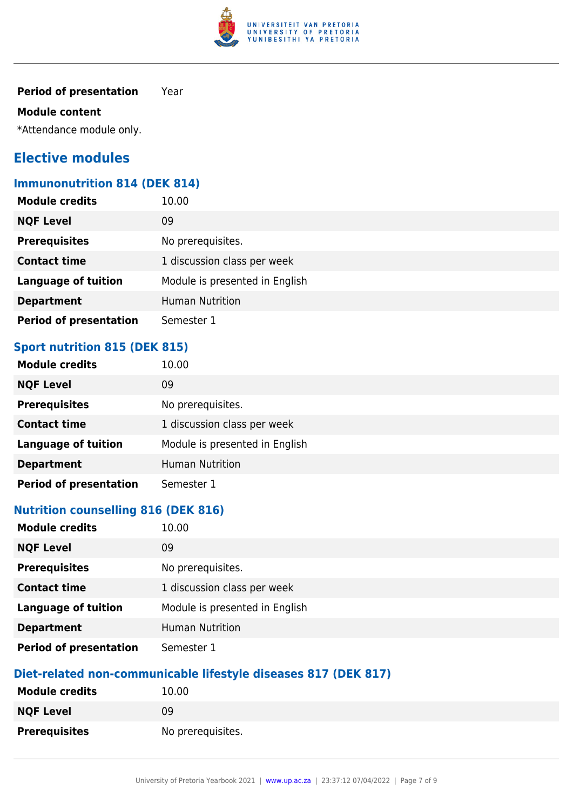

#### **Period of presentation** Year

#### **Module content**

\*Attendance module only.

# **Elective modules**

#### **Immunonutrition 814 (DEK 814)**

| <b>Module credits</b>         | 10.00                          |
|-------------------------------|--------------------------------|
| <b>NQF Level</b>              | 09                             |
| <b>Prerequisites</b>          | No prerequisites.              |
| <b>Contact time</b>           | 1 discussion class per week    |
| <b>Language of tuition</b>    | Module is presented in English |
| <b>Department</b>             | <b>Human Nutrition</b>         |
| <b>Period of presentation</b> | Semester 1                     |

# **Sport nutrition 815 (DEK 815)**

| <b>Module credits</b>         | 10.00                          |
|-------------------------------|--------------------------------|
| <b>NQF Level</b>              | 09                             |
| <b>Prerequisites</b>          | No prerequisites.              |
| <b>Contact time</b>           | 1 discussion class per week    |
| <b>Language of tuition</b>    | Module is presented in English |
| <b>Department</b>             | <b>Human Nutrition</b>         |
| <b>Period of presentation</b> | Semester 1                     |

## **Nutrition counselling 816 (DEK 816)**

| <b>Module credits</b>         | 10.00                          |
|-------------------------------|--------------------------------|
| <b>NQF Level</b>              | 09                             |
| <b>Prerequisites</b>          | No prerequisites.              |
| <b>Contact time</b>           | 1 discussion class per week    |
| <b>Language of tuition</b>    | Module is presented in English |
| <b>Department</b>             | <b>Human Nutrition</b>         |
| <b>Period of presentation</b> | Semester 1                     |

# **Diet-related non-communicable lifestyle diseases 817 (DEK 817)**

| <b>Module credits</b> | 10.00             |
|-----------------------|-------------------|
| <b>NQF Level</b>      | 09                |
| <b>Prerequisites</b>  | No prerequisites. |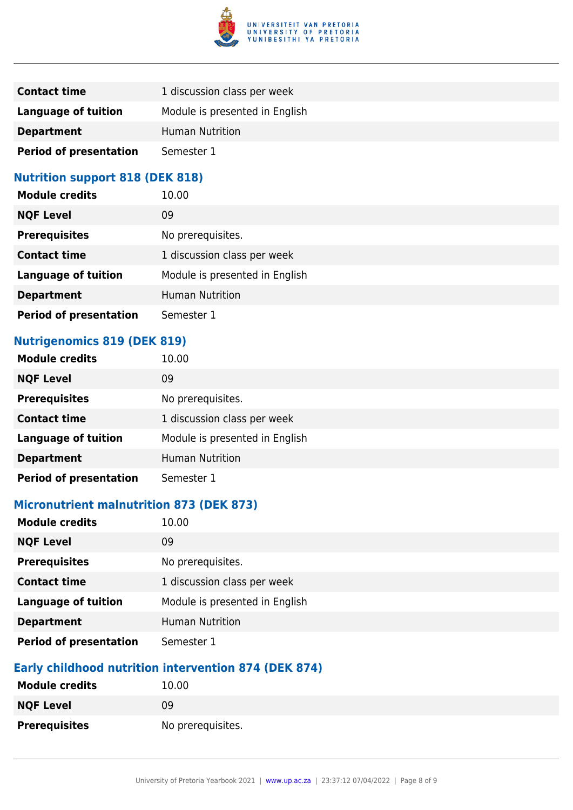

| <b>Contact time</b>           | 1 discussion class per week    |
|-------------------------------|--------------------------------|
| Language of tuition           | Module is presented in English |
| <b>Department</b>             | <b>Human Nutrition</b>         |
| <b>Period of presentation</b> | Semester 1                     |

### **Nutrition support 818 (DEK 818)**

| <b>Module credits</b>         | 10.00                          |
|-------------------------------|--------------------------------|
| <b>NQF Level</b>              | 09                             |
| <b>Prerequisites</b>          | No prerequisites.              |
| <b>Contact time</b>           | 1 discussion class per week    |
| <b>Language of tuition</b>    | Module is presented in English |
| <b>Department</b>             | <b>Human Nutrition</b>         |
| <b>Period of presentation</b> | Semester 1                     |

# **Nutrigenomics 819 (DEK 819)**

| <b>Module credits</b>         | 10.00                          |
|-------------------------------|--------------------------------|
| <b>NQF Level</b>              | 09                             |
| <b>Prerequisites</b>          | No prerequisites.              |
| <b>Contact time</b>           | 1 discussion class per week    |
| <b>Language of tuition</b>    | Module is presented in English |
| <b>Department</b>             | <b>Human Nutrition</b>         |
| <b>Period of presentation</b> | Semester 1                     |

# **Micronutrient malnutrition 873 (DEK 873)**

| <b>Module credits</b>         | 10.00                          |
|-------------------------------|--------------------------------|
| <b>NQF Level</b>              | 09                             |
| <b>Prerequisites</b>          | No prerequisites.              |
| <b>Contact time</b>           | 1 discussion class per week    |
| <b>Language of tuition</b>    | Module is presented in English |
| <b>Department</b>             | <b>Human Nutrition</b>         |
| <b>Period of presentation</b> | Semester 1                     |

### **Early childhood nutrition intervention 874 (DEK 874)**

| <b>Module credits</b> | 10.00             |
|-----------------------|-------------------|
| <b>NQF Level</b>      | 09                |
| <b>Prerequisites</b>  | No prerequisites. |